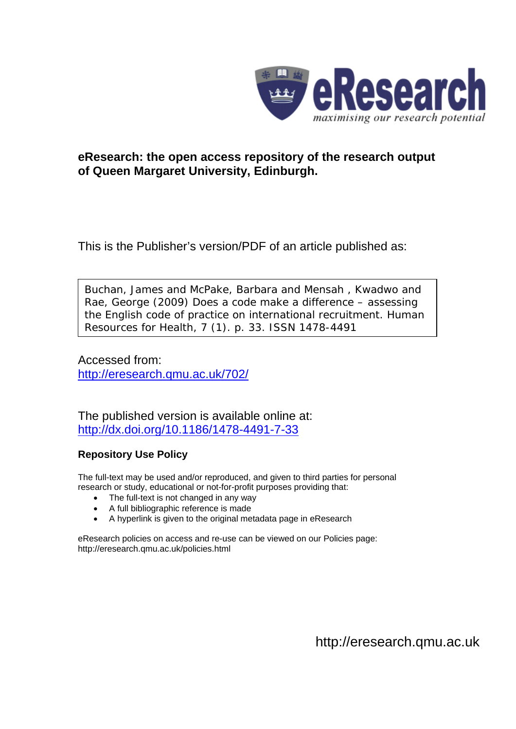

## **eResearch: the open access repository of the research output of Queen Margaret University, Edinburgh.**

This is the Publisher's version/PDF of an article published as:

Buchan, James and McPake, Barbara and Mensah , Kwadwo and Rae, George (2009) *Does a code make a difference – assessing the English code of practice on international recruitment.* Human Resources for Health, 7 (1). p. 33. ISSN 1478-4491

Accessed from: <http://eresearch.qmu.ac.uk/702/>

The published version is available online at: <http://dx.doi.org/10.1186/1478-4491-7-33>

## **Repository Use Policy**

The full-text may be used and/or reproduced, and given to third parties for personal research or study, educational or not-for-profit purposes providing that:

- The full-text is not changed in any way
- A full bibliographic reference is made
- A hyperlink is given to the original metadata page in eResearch

eResearch policies on access and re-use can be viewed on our Policies page: <http://eresearch.qmu.ac.uk/policies.html>

[http://eresearch.qmu.ac.uk](http://eresearch.qmu.ac.uk/)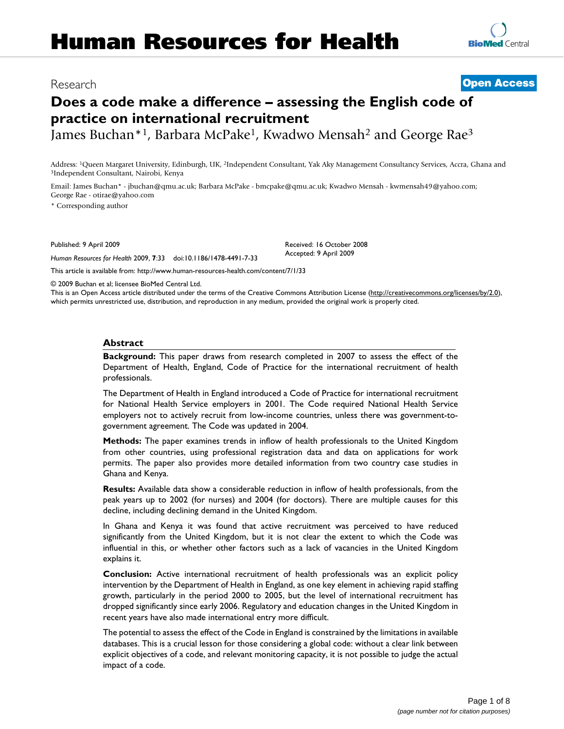### Research **[Open Access](http://www.biomedcentral.com/info/about/charter/)**

# **Does a code make a difference – assessing the English code of practice on international recruitment**

James Buchan\*<sup>1</sup>, Barbara McPake<sup>1</sup>, Kwadwo Mensah<sup>2</sup> and George Rae<sup>3</sup>

Address: 1Queen Margaret University, Edinburgh, UK, 2Independent Consultant, Yak Aky Management Consultancy Services, Accra, Ghana and 3Independent Consultant, Nairobi, Kenya

Email: James Buchan\* - jbuchan@qmu.ac.uk; Barbara McPake - bmcpake@qmu.ac.uk; Kwadwo Mensah - kwmensah49@yahoo.com; George Rae - otirae@yahoo.com

\* Corresponding author

Published: 9 April 2009

*Human Resources for Health* 2009, **7**:33 doi:10.1186/1478-4491-7-33

[This article is available from: http://www.human-resources-health.com/content/7/1/33](http://www.human-resources-health.com/content/7/1/33)

© 2009 Buchan et al; licensee BioMed Central Ltd.

This is an Open Access article distributed under the terms of the Creative Commons Attribution License [\(http://creativecommons.org/licenses/by/2.0\)](http://creativecommons.org/licenses/by/2.0), which permits unrestricted use, distribution, and reproduction in any medium, provided the original work is properly cited.

Received: 16 October 2008 Accepted: 9 April 2009

#### **Abstract**

**Background:** This paper draws from research completed in 2007 to assess the effect of the Department of Health, England, Code of Practice for the international recruitment of health professionals.

The Department of Health in England introduced a Code of Practice for international recruitment for National Health Service employers in 2001. The Code required National Health Service employers not to actively recruit from low-income countries, unless there was government-togovernment agreement. The Code was updated in 2004.

**Methods:** The paper examines trends in inflow of health professionals to the United Kingdom from other countries, using professional registration data and data on applications for work permits. The paper also provides more detailed information from two country case studies in Ghana and Kenya.

**Results:** Available data show a considerable reduction in inflow of health professionals, from the peak years up to 2002 (for nurses) and 2004 (for doctors). There are multiple causes for this decline, including declining demand in the United Kingdom.

In Ghana and Kenya it was found that active recruitment was perceived to have reduced significantly from the United Kingdom, but it is not clear the extent to which the Code was influential in this, or whether other factors such as a lack of vacancies in the United Kingdom explains it.

**Conclusion:** Active international recruitment of health professionals was an explicit policy intervention by the Department of Health in England, as one key element in achieving rapid staffing growth, particularly in the period 2000 to 2005, but the level of international recruitment has dropped significantly since early 2006. Regulatory and education changes in the United Kingdom in recent years have also made international entry more difficult.

The potential to assess the effect of the Code in England is constrained by the limitations in available databases. This is a crucial lesson for those considering a global code: without a clear link between explicit objectives of a code, and relevant monitoring capacity, it is not possible to judge the actual impact of a code.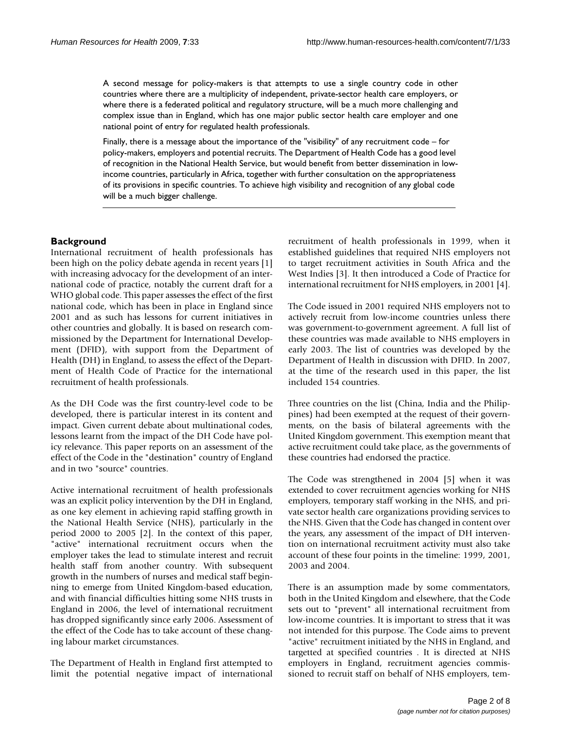A second message for policy-makers is that attempts to use a single country code in other countries where there are a multiplicity of independent, private-sector health care employers, or where there is a federated political and regulatory structure, will be a much more challenging and complex issue than in England, which has one major public sector health care employer and one national point of entry for regulated health professionals.

Finally, there is a message about the importance of the "visibility" of any recruitment code – for policy-makers, employers and potential recruits. The Department of Health Code has a good level of recognition in the National Health Service, but would benefit from better dissemination in lowincome countries, particularly in Africa, together with further consultation on the appropriateness of its provisions in specific countries. To achieve high visibility and recognition of any global code will be a much bigger challenge.

#### **Background**

International recruitment of health professionals has been high on the policy debate agenda in recent years [1] with increasing advocacy for the development of an international code of practice, notably the current draft for a WHO global code. This paper assesses the effect of the first national code, which has been in place in England since 2001 and as such has lessons for current initiatives in other countries and globally. It is based on research commissioned by the Department for International Development (DFID), with support from the Department of Health (DH) in England, to assess the effect of the Department of Health Code of Practice for the international recruitment of health professionals.

As the DH Code was the first country-level code to be developed, there is particular interest in its content and impact. Given current debate about multinational codes, lessons learnt from the impact of the DH Code have policy relevance. This paper reports on an assessment of the effect of the Code in the "destination" country of England and in two "source" countries.

Active international recruitment of health professionals was an explicit policy intervention by the DH in England, as one key element in achieving rapid staffing growth in the National Health Service (NHS), particularly in the period 2000 to 2005 [2]. In the context of this paper, "active" international recruitment occurs when the employer takes the lead to stimulate interest and recruit health staff from another country. With subsequent growth in the numbers of nurses and medical staff beginning to emerge from United Kingdom-based education, and with financial difficulties hitting some NHS trusts in England in 2006, the level of international recruitment has dropped significantly since early 2006. Assessment of the effect of the Code has to take account of these changing labour market circumstances.

The Department of Health in England first attempted to limit the potential negative impact of international

recruitment of health professionals in 1999, when it established guidelines that required NHS employers not to target recruitment activities in South Africa and the West Indies [3]. It then introduced a Code of Practice for international recruitment for NHS employers, in 2001 [4].

The Code issued in 2001 required NHS employers not to actively recruit from low-income countries unless there was government-to-government agreement. A full list of these countries was made available to NHS employers in early 2003. The list of countries was developed by the Department of Health in discussion with DFID. In 2007, at the time of the research used in this paper, the list included 154 countries.

Three countries on the list (China, India and the Philippines) had been exempted at the request of their governments, on the basis of bilateral agreements with the United Kingdom government. This exemption meant that active recruitment could take place, as the governments of these countries had endorsed the practice.

The Code was strengthened in 2004 [5] when it was extended to cover recruitment agencies working for NHS employers, temporary staff working in the NHS, and private sector health care organizations providing services to the NHS. Given that the Code has changed in content over the years, any assessment of the impact of DH intervention on international recruitment activity must also take account of these four points in the timeline: 1999, 2001, 2003 and 2004.

There is an assumption made by some commentators, both in the United Kingdom and elsewhere, that the Code sets out to "prevent" all international recruitment from low-income countries. It is important to stress that it was not intended for this purpose. The Code aims to prevent "active" recruitment initiated by the NHS in England, and targetted at specified countries . It is directed at NHS employers in England, recruitment agencies commissioned to recruit staff on behalf of NHS employers, tem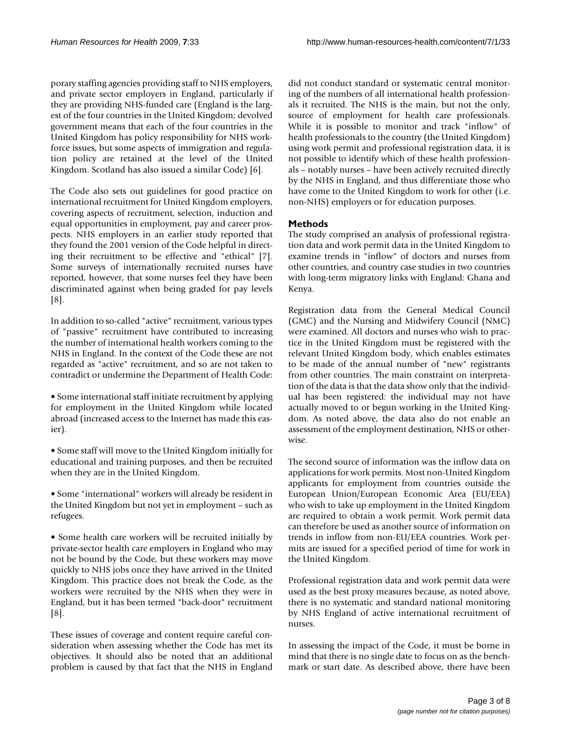porary staffing agencies providing staff to NHS employers, and private sector employers in England, particularly if they are providing NHS-funded care (England is the largest of the four countries in the United Kingdom; devolved government means that each of the four countries in the United Kingdom has policy responsibility for NHS workforce issues, but some aspects of immigration and regulation policy are retained at the level of the United Kingdom. Scotland has also issued a similar Code) [6].

The Code also sets out guidelines for good practice on international recruitment for United Kingdom employers, covering aspects of recruitment, selection, induction and equal opportunities in employment, pay and career prospects. NHS employers in an earlier study reported that they found the 2001 version of the Code helpful in directing their recruitment to be effective and "ethical" [7]. Some surveys of internationally recruited nurses have reported, however, that some nurses feel they have been discriminated against when being graded for pay levels [8].

In addition to so-called "active" recruitment, various types of "passive" recruitment have contributed to increasing the number of international health workers coming to the NHS in England. In the context of the Code these are not regarded as "active" recruitment, and so are not taken to contradict or undermine the Department of Health Code:

• Some international staff initiate recruitment by applying for employment in the United Kingdom while located abroad (increased access to the Internet has made this easier).

• Some staff will move to the United Kingdom initially for educational and training purposes, and then be recruited when they are in the United Kingdom.

• Some "international" workers will already be resident in the United Kingdom but not yet in employment – such as refugees.

• Some health care workers will be recruited initially by private-sector health care employers in England who may not be bound by the Code, but these workers may move quickly to NHS jobs once they have arrived in the United Kingdom. This practice does not break the Code, as the workers were recruited by the NHS when they were in England, but it has been termed "back-door" recruitment [8].

These issues of coverage and content require careful consideration when assessing whether the Code has met its objectives. It should also be noted that an additional problem is caused by that fact that the NHS in England

did not conduct standard or systematic central monitoring of the numbers of all international health professionals it recruited. The NHS is the main, but not the only, source of employment for health care professionals. While it is possible to monitor and track "inflow" of health professionals to the country (the United Kingdom) using work permit and professional registration data, it is not possible to identify which of these health professionals – notably nurses – have been actively recruited directly by the NHS in England, and thus differentiate those who have come to the United Kingdom to work for other (i.e. non-NHS) employers or for education purposes.

#### **Methods**

The study comprised an analysis of professional registration data and work permit data in the United Kingdom to examine trends in "inflow" of doctors and nurses from other countries, and country case studies in two countries with long-term migratory links with England: Ghana and Kenya.

Registration data from the General Medical Council (GMC) and the Nursing and Midwifery Council (NMC) were examined. All doctors and nurses who wish to practice in the United Kingdom must be registered with the relevant United Kingdom body, which enables estimates to be made of the annual number of "new" registrants from other countries. The main constraint on interpretation of the data is that the data show only that the individual has been registered: the individual may not have actually moved to or begun working in the United Kingdom. As noted above, the data also do not enable an assessment of the employment destination, NHS or otherwise.

The second source of information was the inflow data on applications for work permits. Most non-United Kingdom applicants for employment from countries outside the European Union/European Economic Area (EU/EEA) who wish to take up employment in the United Kingdom are required to obtain a work permit. Work permit data can therefore be used as another source of information on trends in inflow from non-EU/EEA countries. Work permits are issued for a specified period of time for work in the United Kingdom.

Professional registration data and work permit data were used as the best proxy measures because, as noted above, there is no systematic and standard national monitoring by NHS England of active international recruitment of nurses.

In assessing the impact of the Code, it must be borne in mind that there is no single date to focus on as the benchmark or start date. As described above, there have been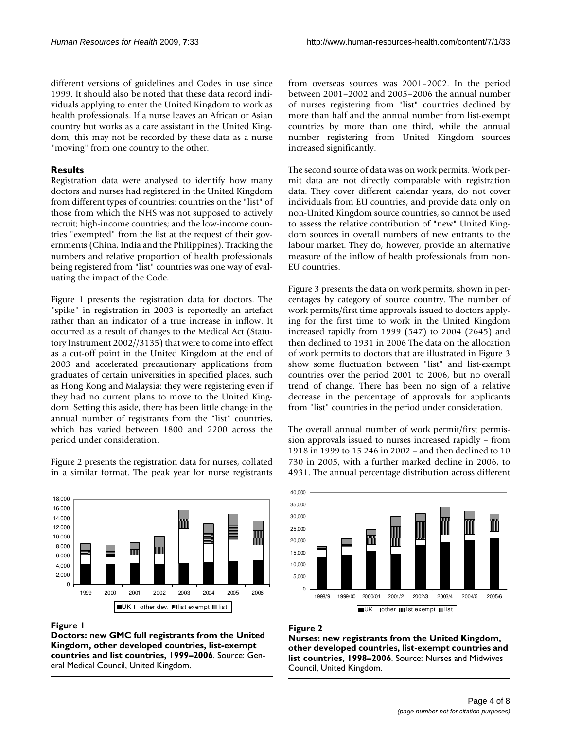different versions of guidelines and Codes in use since 1999. It should also be noted that these data record individuals applying to enter the United Kingdom to work as health professionals. If a nurse leaves an African or Asian country but works as a care assistant in the United Kingdom, this may not be recorded by these data as a nurse "moving" from one country to the other.

#### **Results**

Registration data were analysed to identify how many doctors and nurses had registered in the United Kingdom from different types of countries: countries on the "list" of those from which the NHS was not supposed to actively recruit; high-income countries; and the low-income countries "exempted" from the list at the request of their governments (China, India and the Philippines). Tracking the numbers and relative proportion of health professionals being registered from "list" countries was one way of evaluating the impact of the Code.

Figure 1 presents the registration data for doctors. The "spike" in registration in 2003 is reportedly an artefact rather than an indicator of a true increase in inflow. It occurred as a result of changes to the Medical Act (Statutory Instrument 2002//3135) that were to come into effect as a cut-off point in the United Kingdom at the end of 2003 and accelerated precautionary applications from graduates of certain universities in specified places, such as Hong Kong and Malaysia: they were registering even if they had no current plans to move to the United Kingdom. Setting this aside, there has been little change in the annual number of registrants from the "list" countries, which has varied between 1800 and 2200 across the period under consideration.

Figure 2 presents the registration data for nurses, collated in a similar format. The peak year for nurse registrants



#### Figure I

**Doctors: new GMC full registrants from the United Kingdom, other developed countries, list-exempt countries and list countries, 1999–2006**. Source: General Medical Council, United Kingdom.

from overseas sources was 2001–2002. In the period between 2001–2002 and 2005–2006 the annual number of nurses registering from "list" countries declined by more than half and the annual number from list-exempt countries by more than one third, while the annual number registering from United Kingdom sources increased significantly.

The second source of data was on work permits. Work permit data are not directly comparable with registration data. They cover different calendar years, do not cover individuals from EU countries, and provide data only on non-United Kingdom source countries, so cannot be used to assess the relative contribution of "new" United Kingdom sources in overall numbers of new entrants to the labour market. They do, however, provide an alternative measure of the inflow of health professionals from non-EU countries.

Figure 3 presents the data on work permits, shown in percentages by category of source country. The number of work permits/first time approvals issued to doctors applying for the first time to work in the United Kingdom increased rapidly from 1999 (547) to 2004 (2645) and then declined to 1931 in 2006 The data on the allocation of work permits to doctors that are illustrated in Figure 3 show some fluctuation between "list" and list-exempt countries over the period 2001 to 2006, but no overall trend of change. There has been no sign of a relative decrease in the percentage of approvals for applicants from "list" countries in the period under consideration.

The overall annual number of work permit/first permission approvals issued to nurses increased rapidly – from 1918 in 1999 to 15 246 in 2002 – and then declined to 10 730 in 2005, with a further marked decline in 2006, to 4931. The annual percentage distribution across different



#### Figure 2

**Nurses: new registrants from the United Kingdom, other developed countries, list-exempt countries and list countries, 1998–2006**. Source: Nurses and Midwives Council, United Kingdom.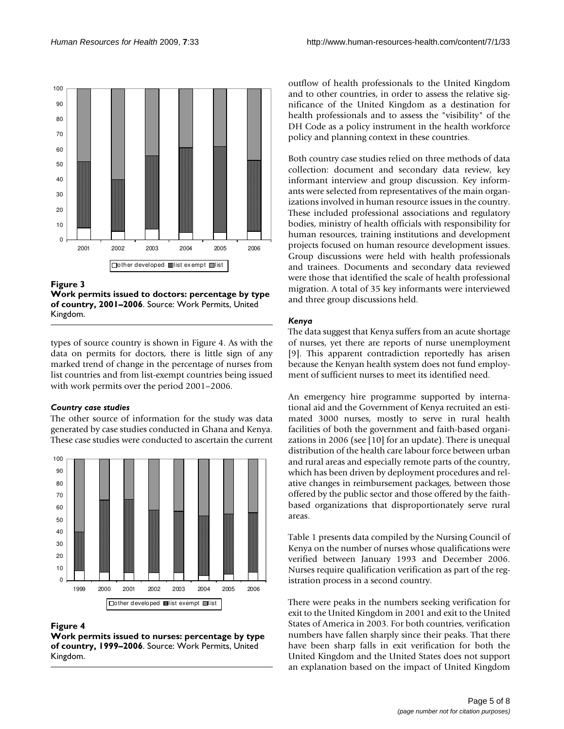

Figure 3

**Work permits issued to doctors: percentage by type of country, 2001–2006**. Source: Work Permits, United Kingdom.

types of source country is shown in Figure 4. As with the data on permits for doctors, there is little sign of any marked trend of change in the percentage of nurses from list countries and from list-exempt countries being issued with work permits over the period 2001–2006.

#### *Country case studies*

The other source of information for the study was data generated by case studies conducted in Ghana and Kenya. These case studies were conducted to ascertain the current



Figure 4

**Work permits issued to nurses: percentage by type of country, 1999–2006**. Source: Work Permits, United Kingdom.

outflow of health professionals to the United Kingdom and to other countries, in order to assess the relative significance of the United Kingdom as a destination for health professionals and to assess the "visibility" of the DH Code as a policy instrument in the health workforce policy and planning context in these countries.

Both country case studies relied on three methods of data collection: document and secondary data review, key informant interview and group discussion. Key informants were selected from representatives of the main organizations involved in human resource issues in the country. These included professional associations and regulatory bodies, ministry of health officials with responsibility for human resources, training institutions and development projects focused on human resource development issues. Group discussions were held with health professionals and trainees. Documents and secondary data reviewed were those that identified the scale of health professional migration. A total of 35 key informants were interviewed and three group discussions held.

#### *Kenya*

The data suggest that Kenya suffers from an acute shortage of nurses, yet there are reports of nurse unemployment [9]. This apparent contradiction reportedly has arisen because the Kenyan health system does not fund employment of sufficient nurses to meet its identified need.

An emergency hire programme supported by international aid and the Government of Kenya recruited an estimated 3000 nurses, mostly to serve in rural health facilities of both the government and faith-based organizations in 2006 (see [10] for an update). There is unequal distribution of the health care labour force between urban and rural areas and especially remote parts of the country, which has been driven by deployment procedures and relative changes in reimbursement packages, between those offered by the public sector and those offered by the faithbased organizations that disproportionately serve rural areas.

Table 1 presents data compiled by the Nursing Council of Kenya on the number of nurses whose qualifications were verified between January 1993 and December 2006. Nurses require qualification verification as part of the registration process in a second country.

There were peaks in the numbers seeking verification for exit to the United Kingdom in 2001 and exit to the United States of America in 2003. For both countries, verification numbers have fallen sharply since their peaks. That there have been sharp falls in exit verification for both the United Kingdom and the United States does not support an explanation based on the impact of United Kingdom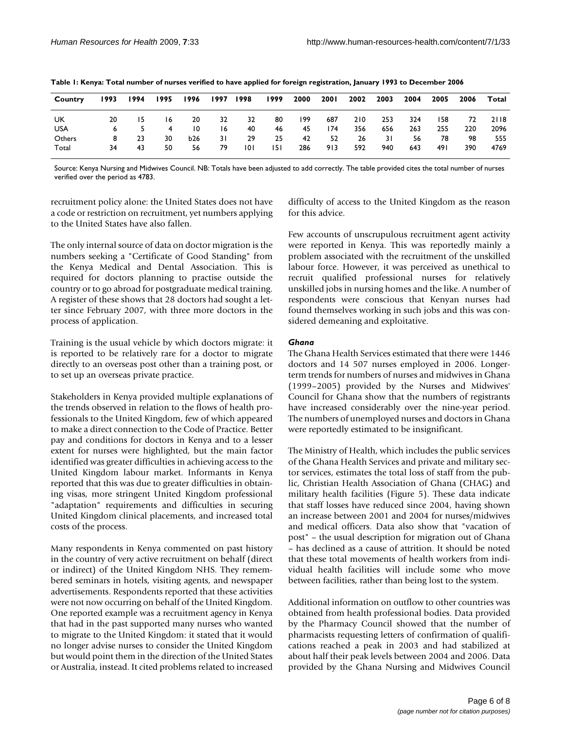| Country | 1993 | 1994 | 1995 |                 | 1996 1997 1998 |     | 1999 | 2000 | 2001 | 2002 | 2003 | 2004 | 2005 | 2006 | Total |
|---------|------|------|------|-----------------|----------------|-----|------|------|------|------|------|------|------|------|-------|
| UK      | 20   | 15   | 16   | 20              | 32             | 32  | 80   | 199  | 687  | 210  | 253  | 324  | 158  | 72   | 2118  |
| USA     |      |      |      | 10              | 16             | 40  | 46   | 45   | 174  | 356  | 656  | 263  | 255  | 220  | 2096  |
| Others  | 8    | 23   | 30   | b <sub>26</sub> | 3 I            | 29  | 25   | 42   | 52   | 26   | 31   | -56  | 78   | 98   | 555   |
| Total   | 34   | 43   | 50   | 56              | 79             | 101 | 151  | 286  | 913  | 592  | 940  | 643  | 491  | 390  | 4769  |

**Table 1: Kenya: Total number of nurses verified to have applied for foreign registration, January 1993 to December 2006**

Source: Kenya Nursing and Midwives Council. NB: Totals have been adjusted to add correctly. The table provided cites the total number of nurses verified over the period as 4783.

recruitment policy alone: the United States does not have a code or restriction on recruitment, yet numbers applying to the United States have also fallen.

The only internal source of data on doctor migration is the numbers seeking a "Certificate of Good Standing" from the Kenya Medical and Dental Association. This is required for doctors planning to practise outside the country or to go abroad for postgraduate medical training. A register of these shows that 28 doctors had sought a letter since February 2007, with three more doctors in the process of application.

Training is the usual vehicle by which doctors migrate: it is reported to be relatively rare for a doctor to migrate directly to an overseas post other than a training post, or to set up an overseas private practice.

Stakeholders in Kenya provided multiple explanations of the trends observed in relation to the flows of health professionals to the United Kingdom, few of which appeared to make a direct connection to the Code of Practice. Better pay and conditions for doctors in Kenya and to a lesser extent for nurses were highlighted, but the main factor identified was greater difficulties in achieving access to the United Kingdom labour market. Informants in Kenya reported that this was due to greater difficulties in obtaining visas, more stringent United Kingdom professional "adaptation" requirements and difficulties in securing United Kingdom clinical placements, and increased total costs of the process.

Many respondents in Kenya commented on past history in the country of very active recruitment on behalf (direct or indirect) of the United Kingdom NHS. They remembered seminars in hotels, visiting agents, and newspaper advertisements. Respondents reported that these activities were not now occurring on behalf of the United Kingdom. One reported example was a recruitment agency in Kenya that had in the past supported many nurses who wanted to migrate to the United Kingdom: it stated that it would no longer advise nurses to consider the United Kingdom but would point them in the direction of the United States or Australia, instead. It cited problems related to increased difficulty of access to the United Kingdom as the reason for this advice.

Few accounts of unscrupulous recruitment agent activity were reported in Kenya. This was reportedly mainly a problem associated with the recruitment of the unskilled labour force. However, it was perceived as unethical to recruit qualified professional nurses for relatively unskilled jobs in nursing homes and the like. A number of respondents were conscious that Kenyan nurses had found themselves working in such jobs and this was considered demeaning and exploitative.

#### *Ghana*

The Ghana Health Services estimated that there were 1446 doctors and 14 507 nurses employed in 2006. Longerterm trends for numbers of nurses and midwives in Ghana (1999–2005) provided by the Nurses and Midwives' Council for Ghana show that the numbers of registrants have increased considerably over the nine-year period. The numbers of unemployed nurses and doctors in Ghana were reportedly estimated to be insignificant.

The Ministry of Health, which includes the public services of the Ghana Health Services and private and military sector services, estimates the total loss of staff from the public, Christian Health Association of Ghana (CHAG) and military health facilities (Figure 5). These data indicate that staff losses have reduced since 2004, having shown an increase between 2001 and 2004 for nurses/midwives and medical officers. Data also show that "vacation of post" – the usual description for migration out of Ghana – has declined as a cause of attrition. It should be noted that these total movements of health workers from individual health facilities will include some who move between facilities, rather than being lost to the system.

Additional information on outflow to other countries was obtained from health professional bodies. Data provided by the Pharmacy Council showed that the number of pharmacists requesting letters of confirmation of qualifications reached a peak in 2003 and had stabilized at about half their peak levels between 2004 and 2006. Data provided by the Ghana Nursing and Midwives Council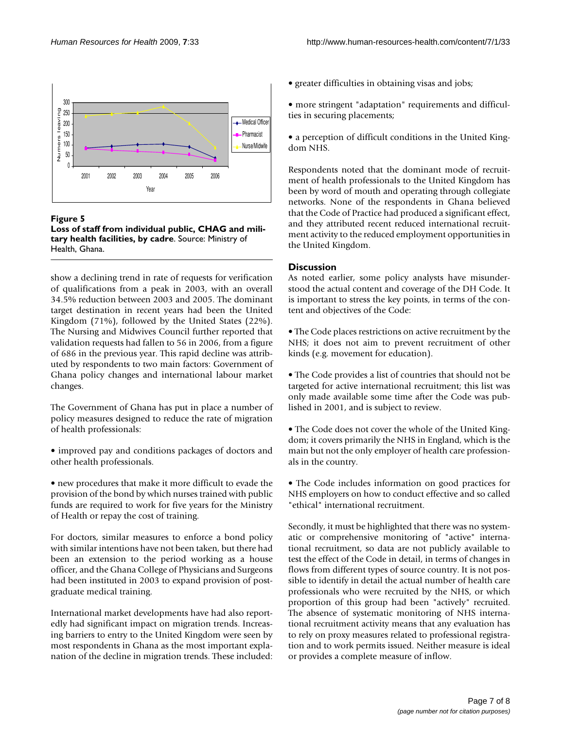

Figure 5

**Loss of staff from individual public, CHAG and military health facilities, by cadre**. Source: Ministry of Health, Ghana.

show a declining trend in rate of requests for verification of qualifications from a peak in 2003, with an overall 34.5% reduction between 2003 and 2005. The dominant target destination in recent years had been the United Kingdom (71%), followed by the United States (22%). The Nursing and Midwives Council further reported that validation requests had fallen to 56 in 2006, from a figure of 686 in the previous year. This rapid decline was attributed by respondents to two main factors: Government of Ghana policy changes and international labour market changes.

The Government of Ghana has put in place a number of policy measures designed to reduce the rate of migration of health professionals:

• improved pay and conditions packages of doctors and other health professionals.

• new procedures that make it more difficult to evade the provision of the bond by which nurses trained with public funds are required to work for five years for the Ministry of Health or repay the cost of training.

For doctors, similar measures to enforce a bond policy with similar intentions have not been taken, but there had been an extension to the period working as a house officer, and the Ghana College of Physicians and Surgeons had been instituted in 2003 to expand provision of postgraduate medical training.

International market developments have had also reportedly had significant impact on migration trends. Increasing barriers to entry to the United Kingdom were seen by most respondents in Ghana as the most important explanation of the decline in migration trends. These included: • greater difficulties in obtaining visas and jobs;

• more stringent "adaptation" requirements and difficulties in securing placements;

• a perception of difficult conditions in the United Kingdom NHS.

Respondents noted that the dominant mode of recruitment of health professionals to the United Kingdom has been by word of mouth and operating through collegiate networks. None of the respondents in Ghana believed that the Code of Practice had produced a significant effect, and they attributed recent reduced international recruitment activity to the reduced employment opportunities in the United Kingdom.

#### **Discussion**

As noted earlier, some policy analysts have misunderstood the actual content and coverage of the DH Code. It is important to stress the key points, in terms of the content and objectives of the Code:

• The Code places restrictions on active recruitment by the NHS; it does not aim to prevent recruitment of other kinds (e.g. movement for education).

• The Code provides a list of countries that should not be targeted for active international recruitment; this list was only made available some time after the Code was published in 2001, and is subject to review.

• The Code does not cover the whole of the United Kingdom; it covers primarily the NHS in England, which is the main but not the only employer of health care professionals in the country.

• The Code includes information on good practices for NHS employers on how to conduct effective and so called "ethical" international recruitment.

Secondly, it must be highlighted that there was no systematic or comprehensive monitoring of "active" international recruitment, so data are not publicly available to test the effect of the Code in detail, in terms of changes in flows from different types of source country. It is not possible to identify in detail the actual number of health care professionals who were recruited by the NHS, or which proportion of this group had been "actively" recruited. The absence of systematic monitoring of NHS international recruitment activity means that any evaluation has to rely on proxy measures related to professional registration and to work permits issued. Neither measure is ideal or provides a complete measure of inflow.